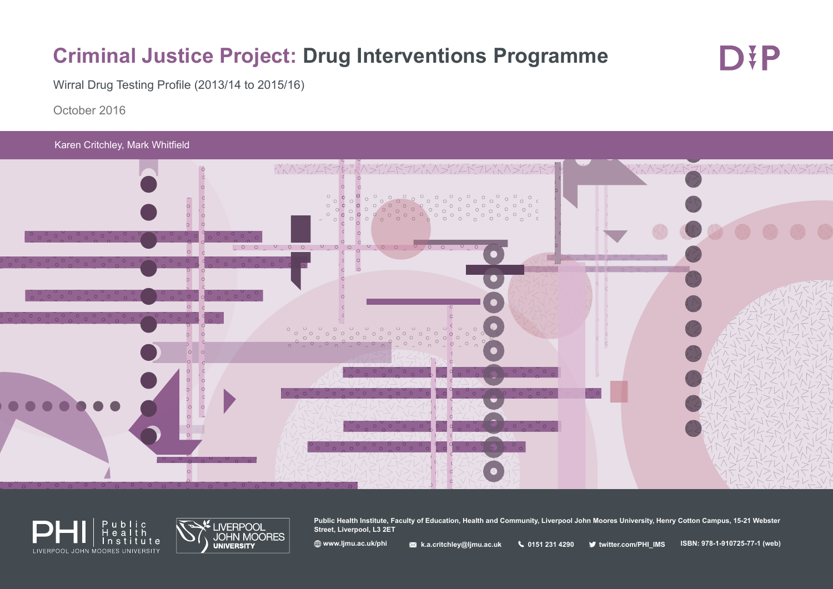# **Criminal Justice Project: Drug Interventions Programme**

D¥P

Wirral Drug Testing Profile (2013/14 to 2015/16)

October 2016

Karen Critchley, Mark Whitfield







**Public Health Institute, Faculty of Education, Health and Community, Liverpool John Moores University, Henry Cotton Campus, 15-21 Webster Street, Liverpool, L3 2ET**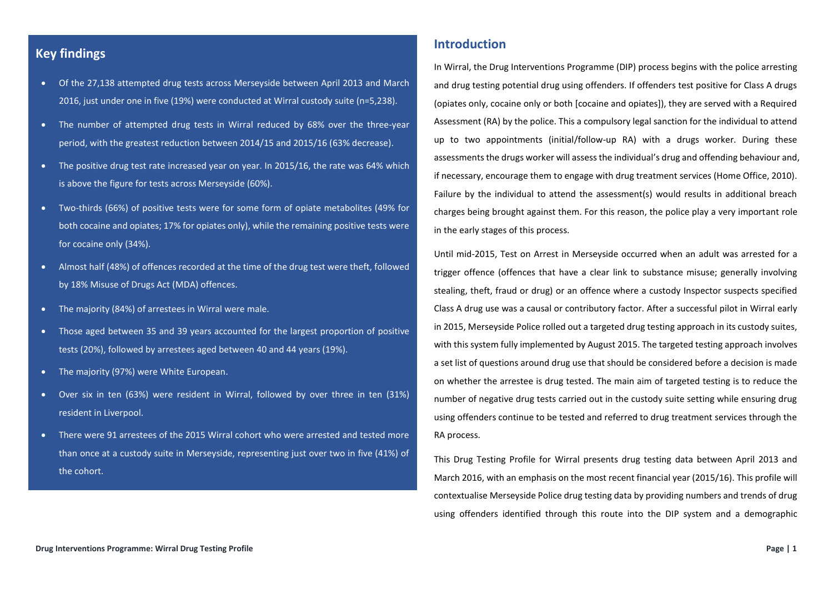## **Key findings**

- Of the 27,138 attempted drug tests across Merseyside between April 2013 and March 2016, just under one in five (19%) were conducted at Wirral custody suite (n=5,238).
- The number of attempted drug tests in Wirral reduced by 68% over the three-year period, with the greatest reduction between 2014/15 and 2015/16 (63% decrease).
- The positive drug test rate increased year on year. In 2015/16, the rate was 64% which is above the figure for tests across Merseyside (60%).
- Two-thirds (66%) of positive tests were for some form of opiate metabolites (49% for both cocaine and opiates; 17% for opiates only), while the remaining positive tests were for cocaine only (34%).
- Almost half (48%) of offences recorded at the time of the drug test were theft, followed by 18% Misuse of Drugs Act (MDA) offences.
- The majority (84%) of arrestees in Wirral were male.
- Those aged between 35 and 39 years accounted for the largest proportion of positive tests (20%), followed by arrestees aged between 40 and 44 years (19%).
- The majority (97%) were White European.
- Over six in ten (63%) were resident in Wirral, followed by over three in ten (31%) resident in Liverpool.
- There were 91 arrestees of the 2015 Wirral cohort who were arrested and tested more than once at a custody suite in Merseyside, representing just over two in five (41%) of the cohort.

## **Introduction**

In Wirral, the Drug Interventions Programme (DIP) process begins with the police arresting and drug testing potential drug using offenders. If offenders test positive for Class A drugs (opiates only, cocaine only or both [cocaine and opiates]), they are served with a Required Assessment (RA) by the police. This a compulsory legal sanction for the individual to attend up to two appointments (initial/follow-up RA) with a drugs worker. During these assessments the drugs worker will assess the individual's drug and offending behaviour and, if necessary, encourage them to engage with drug treatment services (Home Office, 2010). Failure by the individual to attend the assessment(s) would results in additional breach charges being brought against them. For this reason, the police play a very important role in the early stages of this process.

Until mid-2015, Test on Arrest in Merseyside occurred when an adult was arrested for a trigger offence (offences that have a clear link to substance misuse; generally involving stealing, theft, fraud or drug) or an offence where a custody Inspector suspects specified Class A drug use was a causal or contributory factor. After a successful pilot in Wirral early in 2015, Merseyside Police rolled out a targeted drug testing approach in its custody suites, with this system fully implemented by August 2015. The targeted testing approach involves a set list of questions around drug use that should be considered before a decision is made on whether the arrestee is drug tested. The main aim of targeted testing is to reduce the number of negative drug tests carried out in the custody suite setting while ensuring drug using offenders continue to be tested and referred to drug treatment services through the RA process.

This Drug Testing Profile for Wirral presents drug testing data between April 2013 and March 2016, with an emphasis on the most recent financial year (2015/16). This profile will contextualise Merseyside Police drug testing data by providing numbers and trends of drug using offenders identified through this route into the DIP system and a demographic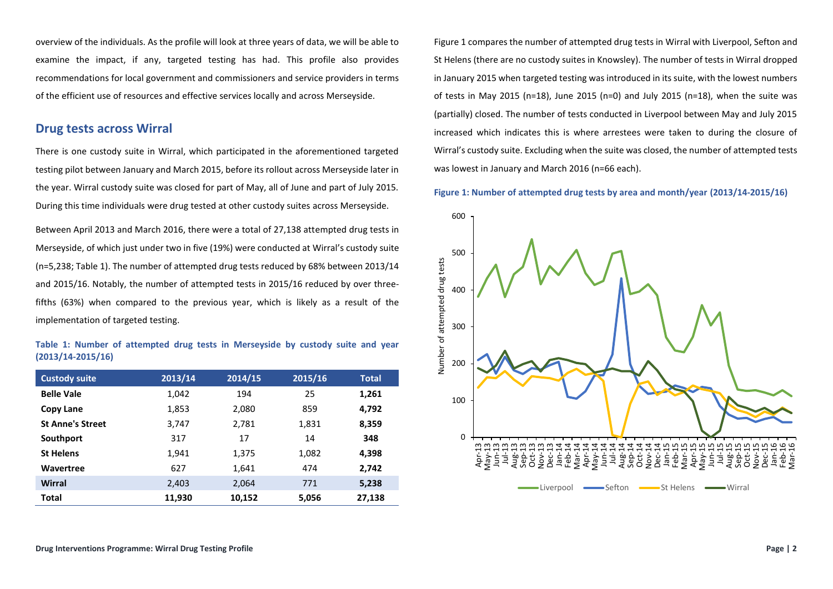overview of the individuals. As the profile will look at three years of data, we will be able to examine the impact, if any, targeted testing has had. This profile also provides recommendations for local government and commissioners and service providers in terms of the efficient use of resources and effective services locally and across Merseyside.

## **Drug tests across Wirral**

There is one custody suite in Wirral, which participated in the aforementioned targeted testing pilot between January and March 2015, before its rollout across Merseyside later in the year. Wirral custody suite was closed for part of May, all of June and part of July 2015. During this time individuals were drug tested at other custody suites across Merseyside.

Between April 2013 and March 2016, there were a total of 27,138 attempted drug tests in Merseyside, of which just under two in five (19%) were conducted at Wirral's custody suite (n=5,238; Table 1). The number of attempted drug tests reduced by 68% between 2013/14 and 2015/16. Notably, the number of attempted tests in 2015/16 reduced by over threefifths (63%) when compared to the previous year, which is likely as a result of the implementation of targeted testing.

#### **Table 1: Number of attempted drug tests in Merseyside by custody suite and year (2013/14-2015/16)**

| <b>Custody suite</b>    | 2013/14 | 2014/15 | 2015/16 | <b>Total</b> |
|-------------------------|---------|---------|---------|--------------|
| <b>Belle Vale</b>       | 1,042   | 194     | 25      | 1,261        |
| Copy Lane               | 1,853   | 2,080   | 859     | 4,792        |
| <b>St Anne's Street</b> | 3,747   | 2.781   | 1,831   | 8,359        |
| Southport               | 317     | 17      | 14      | 348          |
| <b>St Helens</b>        | 1,941   | 1,375   | 1,082   | 4,398        |
| Wavertree               | 627     | 1,641   | 474     | 2,742        |
| Wirral                  | 2,403   | 2,064   | 771     | 5,238        |
| <b>Total</b>            | 11,930  | 10,152  | 5,056   | 27,138       |

Figure 1 compares the number of attempted drug tests in Wirral with Liverpool, Sefton and St Helens (there are no custody suites in Knowsley). The number of tests in Wirral dropped in January 2015 when targeted testing was introduced in its suite, with the lowest numbers of tests in May 2015 (n=18), June 2015 (n=0) and July 2015 (n=18), when the suite was (partially) closed. The number of tests conducted in Liverpool between May and July 2015 increased which indicates this is where arrestees were taken to during the closure of Wirral's custody suite. Excluding when the suite was closed, the number of attempted tests was lowest in January and March 2016 (n=66 each).

#### **Figure 1: Number of attempted drug tests by area and month/year (2013/14-2015/16)**

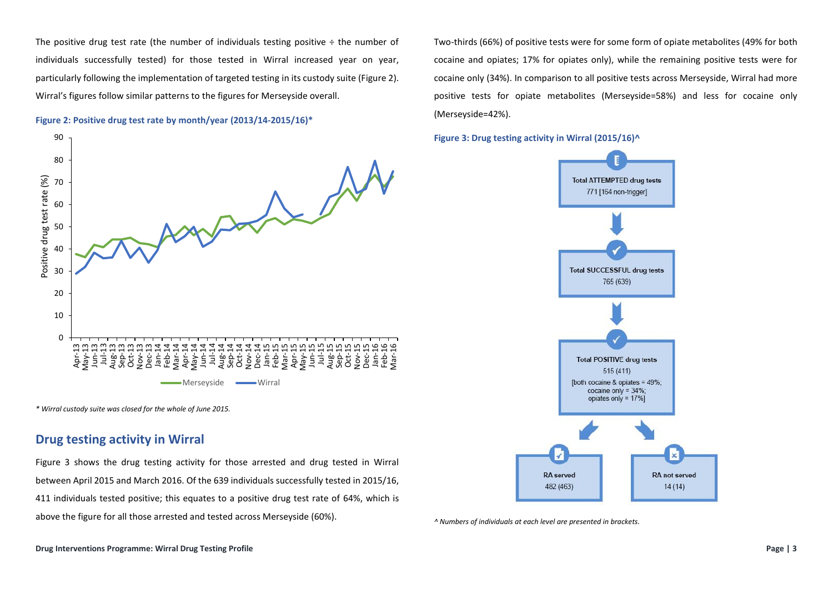The positive drug test rate (the number of individuals testing positive  $\div$  the number of individuals successfully tested) for those tested in Wirral increased year on year, particularly following the implementation of targeted testing in its custody suite (Figure 2). Wirral's figures follow similar patterns to the figures for Merseyside overall.





*\* Wirral custody suite was closed for the whole of June 2015.*

## **Drug testing activity in Wirral**

Figure 3 shows the drug testing activity for those arrested and drug tested in Wirral between April 2015 and March 2016. Of the 639 individuals successfully tested in 2015/16, 411 individuals tested positive; this equates to a positive drug test rate of 64%, which is above the figure for all those arrested and tested across Merseyside (60%).

Two-thirds (66%) of positive tests were for some form of opiate metabolites (49% for both cocaine and opiates; 17% for opiates only), while the remaining positive tests were for cocaine only (34%). In comparison to all positive tests across Merseyside, Wirral had more positive tests for opiate metabolites (Merseyside=58%) and less for cocaine only (Merseyside=42%).

**Figure 3: Drug testing activity in Wirral (2015/16)^**



*^ Numbers of individuals at each level are presented in brackets.*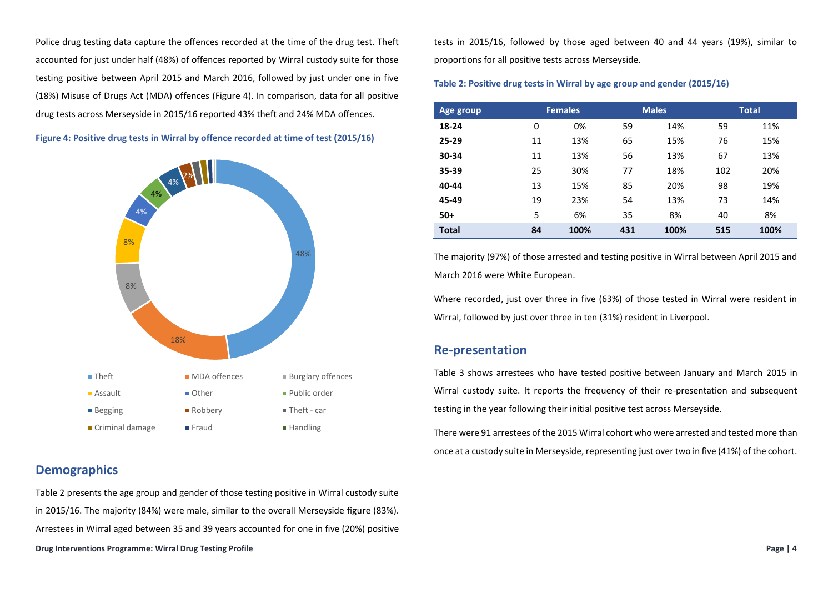Police drug testing data capture the offences recorded at the time of the drug test. Theft accounted for just under half (48%) of offences reported by Wirral custody suite for those testing positive between April 2015 and March 2016, followed by just under one in five (18%) Misuse of Drugs Act (MDA) offences (Figure 4). In comparison, data for all positive drug tests across Merseyside in 2015/16 reported 43% theft and 24% MDA offences.

**Figure 4: Positive drug tests in Wirral by offence recorded at time of test (2015/16)**



## **Demographics**

**Drug Interventions Programme: Wirral Drug Testing Profile Page | 4** Table 2 presents the age group and gender of those testing positive in Wirral custody suite in 2015/16. The majority (84%) were male, similar to the overall Merseyside figure (83%). Arrestees in Wirral aged between 35 and 39 years accounted for one in five (20%) positive

tests in 2015/16, followed by those aged between 40 and 44 years (19%), similar to proportions for all positive tests across Merseyside.

#### **Table 2: Positive drug tests in Wirral by age group and gender (2015/16)**

| Age group    |          | <b>Females</b> |     | <b>Males</b> |     | <b>Total</b> |
|--------------|----------|----------------|-----|--------------|-----|--------------|
| 18-24        | $\Omega$ | 0%             | 59  | 14%          | 59  | 11%          |
| 25-29        | 11       | 13%            | 65  | 15%          | 76  | 15%          |
| 30-34        | 11       | 13%            | 56  | 13%          | 67  | 13%          |
| 35-39        | 25       | 30%            | 77  | 18%          | 102 | 20%          |
| 40-44        | 13       | 15%            | 85  | 20%          | 98  | 19%          |
| 45-49        | 19       | 23%            | 54  | 13%          | 73  | 14%          |
| $50+$        | 5        | 6%             | 35  | 8%           | 40  | 8%           |
| <b>Total</b> | 84       | 100%           | 431 | 100%         | 515 | 100%         |

The majority (97%) of those arrested and testing positive in Wirral between April 2015 and March 2016 were White European.

Where recorded, just over three in five (63%) of those tested in Wirral were resident in Wirral, followed by just over three in ten (31%) resident in Liverpool.

## **Re-presentation**

Table 3 shows arrestees who have tested positive between January and March 2015 in Wirral custody suite. It reports the frequency of their re-presentation and subsequent testing in the year following their initial positive test across Merseyside.

There were 91 arrestees of the 2015 Wirral cohort who were arrested and tested more than once at a custody suite in Merseyside, representing just over two in five (41%) of the cohort.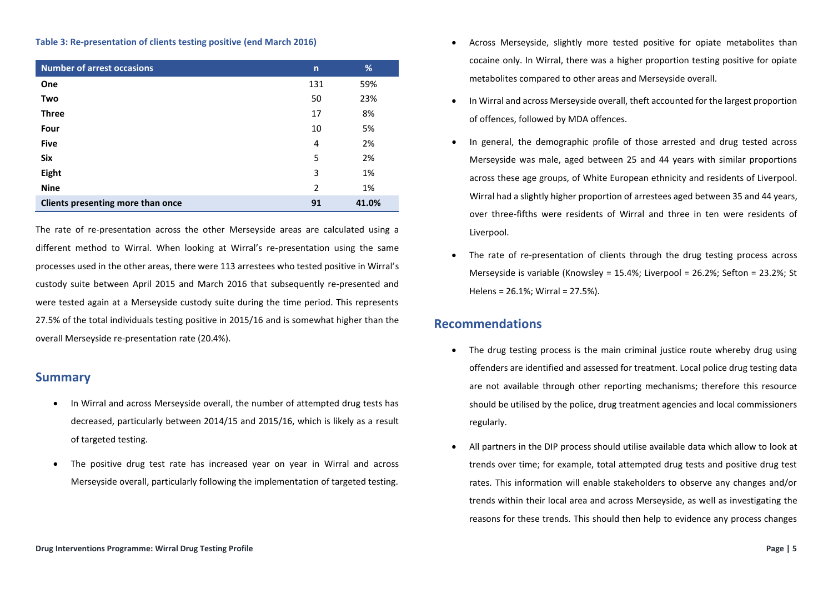#### **Table 3: Re-presentation of clients testing positive (end March 2016)**

| <b>Number of arrest occasions</b> | $\mathsf{n}$ | %     |
|-----------------------------------|--------------|-------|
| One                               | 131          | 59%   |
| Two                               | 50           | 23%   |
| <b>Three</b>                      | 17           | 8%    |
| Four                              | 10           | 5%    |
| <b>Five</b>                       | 4            | 2%    |
| Six                               | 5            | 2%    |
| Eight                             | 3            | 1%    |
| <b>Nine</b>                       | 2            | 1%    |
| Clients presenting more than once | 91           | 41.0% |

The rate of re-presentation across the other Merseyside areas are calculated using a different method to Wirral. When looking at Wirral's re-presentation using the same processes used in the other areas, there were 113 arrestees who tested positive in Wirral's custody suite between April 2015 and March 2016 that subsequently re-presented and were tested again at a Merseyside custody suite during the time period. This represents 27.5% of the total individuals testing positive in 2015/16 and is somewhat higher than the overall Merseyside re-presentation rate (20.4%).

### **Summary**

- In Wirral and across Merseyside overall, the number of attempted drug tests has decreased, particularly between 2014/15 and 2015/16, which is likely as a result of targeted testing.
- The positive drug test rate has increased year on year in Wirral and across Merseyside overall, particularly following the implementation of targeted testing.
- Across Merseyside, slightly more tested positive for opiate metabolites than cocaine only. In Wirral, there was a higher proportion testing positive for opiate metabolites compared to other areas and Merseyside overall.
- In Wirral and across Merseyside overall, theft accounted for the largest proportion of offences, followed by MDA offences.
- In general, the demographic profile of those arrested and drug tested across Merseyside was male, aged between 25 and 44 years with similar proportions across these age groups, of White European ethnicity and residents of Liverpool. Wirral had a slightly higher proportion of arrestees aged between 35 and 44 years, over three-fifths were residents of Wirral and three in ten were residents of Liverpool.
- The rate of re-presentation of clients through the drug testing process across Merseyside is variable (Knowsley = 15.4%; Liverpool = 26.2%; Sefton = 23.2%; St Helens = 26.1%; Wirral = 27.5%).

## **Recommendations**

- The drug testing process is the main criminal justice route whereby drug using offenders are identified and assessed for treatment. Local police drug testing data are not available through other reporting mechanisms; therefore this resource should be utilised by the police, drug treatment agencies and local commissioners regularly.
- All partners in the DIP process should utilise available data which allow to look at trends over time; for example, total attempted drug tests and positive drug test rates. This information will enable stakeholders to observe any changes and/or trends within their local area and across Merseyside, as well as investigating the reasons for these trends. This should then help to evidence any process changes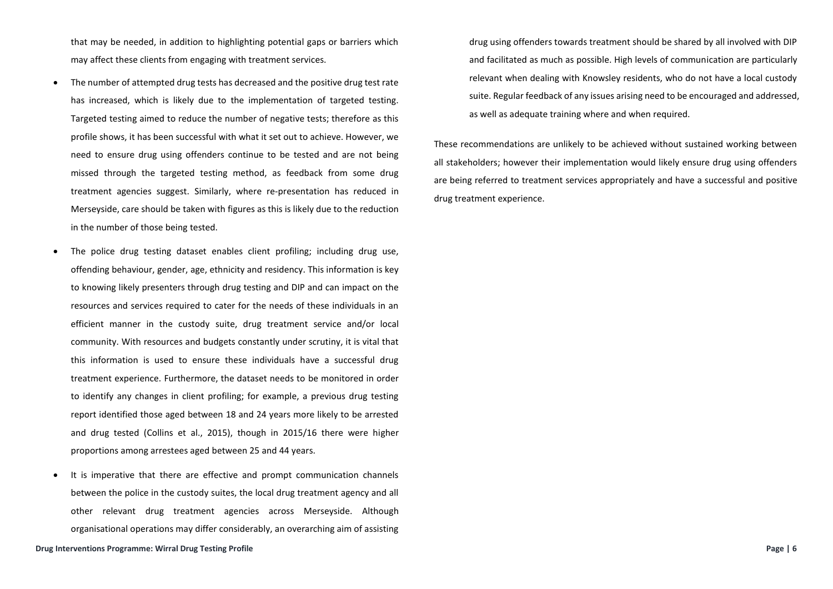that may be needed, in addition to highlighting potential gaps or barriers which may affect these clients from engaging with treatment services.

- The number of attempted drug tests has decreased and the positive drug test rate has increased, which is likely due to the implementation of targeted testing. Targeted testing aimed to reduce the number of negative tests; therefore as this profile shows, it has been successful with what it set out to achieve. However, we need to ensure drug using offenders continue to be tested and are not being missed through the targeted testing method, as feedback from some drug treatment agencies suggest. Similarly, where re-presentation has reduced in Merseyside, care should be taken with figures as this is likely due to the reduction in the number of those being tested.
- The police drug testing dataset enables client profiling; including drug use, offending behaviour, gender, age, ethnicity and residency. This information is key to knowing likely presenters through drug testing and DIP and can impact on the resources and services required to cater for the needs of these individuals in an efficient manner in the custody suite, drug treatment service and/or local community. With resources and budgets constantly under scrutiny, it is vital that this information is used to ensure these individuals have a successful drug treatment experience. Furthermore, the dataset needs to be monitored in order to identify any changes in client profiling; for example, a previous drug testing report identified those aged between 18 and 24 years more likely to be arrested and drug tested (Collins et al., 2015), though in 2015/16 there were higher proportions among arrestees aged between 25 and 44 years.
- It is imperative that there are effective and prompt communication channels between the police in the custody suites, the local drug treatment agency and all other relevant drug treatment agencies across Merseyside. Although organisational operations may differ considerably, an overarching aim of assisting

**Drug Interventions Programme: Wirral Drug Testing Profile Page | 6**

drug using offenders towards treatment should be shared by all involved with DIP and facilitated as much as possible. High levels of communication are particularly relevant when dealing with Knowsley residents, who do not have a local custody suite. Regular feedback of any issues arising need to be encouraged and addressed, as well as adequate training where and when required.

These recommendations are unlikely to be achieved without sustained working between all stakeholders; however their implementation would likely ensure drug using offenders are being referred to treatment services appropriately and have a successful and positive drug treatment experience.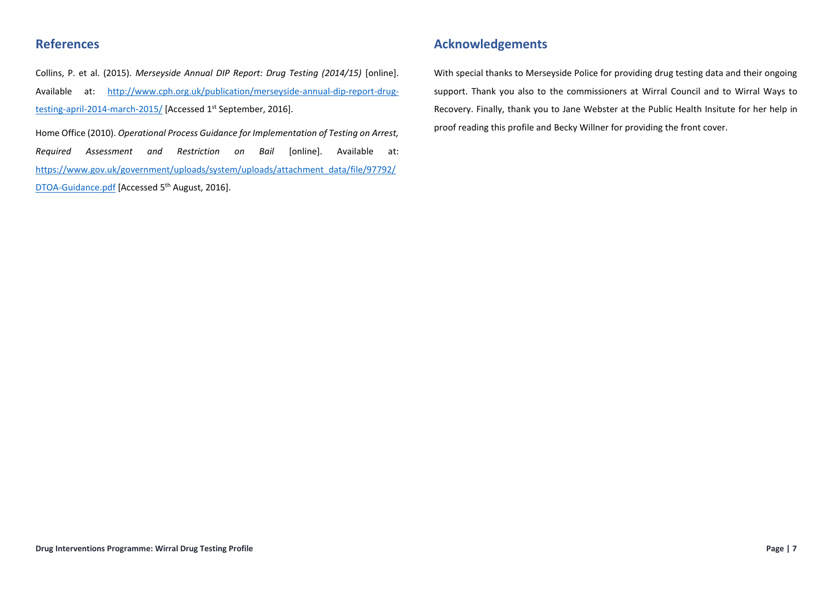# **References**

Collins, P. et al. (2015). *Merseyside Annual DIP Report: Drug Testing (2014/15)* [online]. Available at: [http://www.cph.org.uk/publication/merseyside-annual-dip-report-drug](http://www.cph.org.uk/publication/merseyside-annual-dip-report-drug-testing-april-2014-march-2015/)[testing-april-2014-march-2015/](http://www.cph.org.uk/publication/merseyside-annual-dip-report-drug-testing-april-2014-march-2015/) [Accessed 1<sup>st</sup> September, 2016].

Home Office (2010). *Operational Process Guidance for Implementation of Testing on Arrest, Required Assessment and Restriction on Bail* [online]. Available at: [https://www.gov.uk/government/uploads/system/uploads/attachment\\_data/file/97792/](https://www.gov.uk/government/uploads/system/uploads/attachment_data/file/97792/DTOA-Guidance.pdf) [DTOA-Guidance.pdf](https://www.gov.uk/government/uploads/system/uploads/attachment_data/file/97792/DTOA-Guidance.pdf) [Accessed 5th August, 2016].

## **Acknowledgements**

With special thanks to Merseyside Police for providing drug testing data and their ongoing support. Thank you also to the commissioners at Wirral Council and to Wirral Ways to Recovery. Finally, thank you to Jane Webster at the Public Health Insitute for her help in proof reading this profile and Becky Willner for providing the front cover.